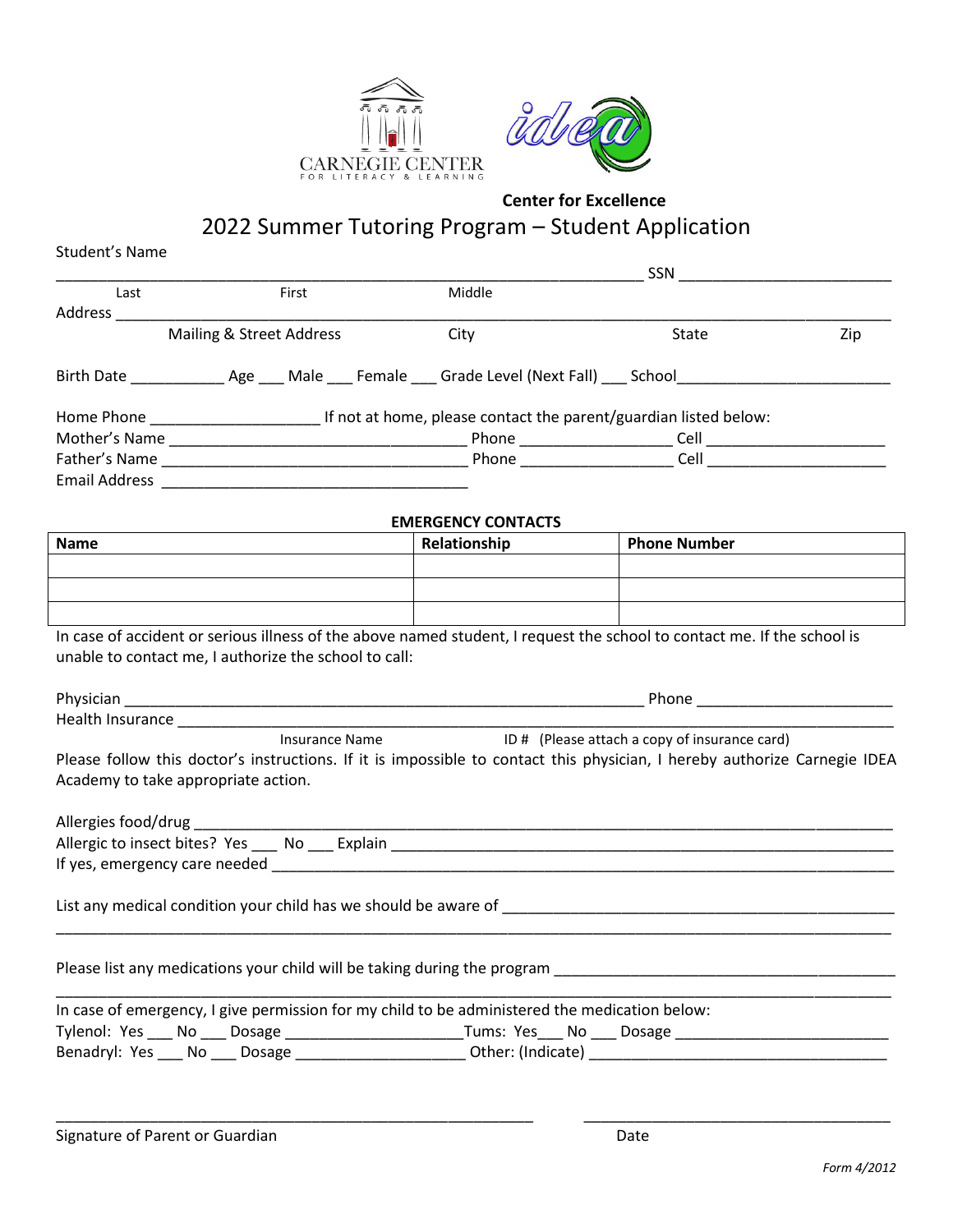



2022 Summer Tutoring Program – Student Application

| Student's Name       |                                                                                                   |                                                                                                                 |                                                                                                                                                                                                                                      |     |
|----------------------|---------------------------------------------------------------------------------------------------|-----------------------------------------------------------------------------------------------------------------|--------------------------------------------------------------------------------------------------------------------------------------------------------------------------------------------------------------------------------------|-----|
|                      |                                                                                                   |                                                                                                                 | SSN                                                                                                                                                                                                                                  |     |
| Last                 | First                                                                                             | Middle                                                                                                          |                                                                                                                                                                                                                                      |     |
| Address              |                                                                                                   |                                                                                                                 |                                                                                                                                                                                                                                      |     |
|                      | Mailing & Street Address                                                                          | City                                                                                                            | State                                                                                                                                                                                                                                | Zip |
|                      |                                                                                                   |                                                                                                                 |                                                                                                                                                                                                                                      |     |
|                      |                                                                                                   | If not at home, please contact the parent/guardian listed below:                                                |                                                                                                                                                                                                                                      |     |
|                      |                                                                                                   | Phone ______________________                                                                                    | Cell                                                                                                                                                                                                                                 |     |
|                      |                                                                                                   |                                                                                                                 | Phone Cell                                                                                                                                                                                                                           |     |
| <b>Email Address</b> | <u> 2001 - Jan Barbarat, manazarta da kasas da shekara 1992 - Andrea Santa Arabska (h. 1871).</u> |                                                                                                                 |                                                                                                                                                                                                                                      |     |
|                      |                                                                                                   | <b>EMERGENCY CONTACTS</b>                                                                                       |                                                                                                                                                                                                                                      |     |
| $\blacksquare$       |                                                                                                   | the contract of the contract of the contract of the contract of the contract of the contract of the contract of | <b>Independent of the contract of the contract of the contract of the contract of the contract of the contract of the contract of the contract of the contract of the contract of the contract of the contract of the contract o</b> |     |

## **Name Relationship Phone Number**

In case of accident or serious illness of the above named student, I request the school to contact me. If the school is unable to contact me, I authorize the school to call:

| Physician        |                | Phone                                         |  |
|------------------|----------------|-----------------------------------------------|--|
| Health Insurance |                |                                               |  |
|                  | Insurance Name | ID # (Please attach a copy of insurance card) |  |

Please follow this doctor's instructions. If it is impossible to contact this physician, I hereby authorize Carnegie IDEA Academy to take appropriate action.

| Allergies food/drug              |         |
|----------------------------------|---------|
| Allergic to insect bites? Yes No | Explain |
| If yes, emergency care needed    |         |
|                                  |         |

\_\_\_\_\_\_\_\_\_\_\_\_\_\_\_\_\_\_\_\_\_\_\_\_\_\_\_\_\_\_\_\_\_\_\_\_\_\_\_\_\_\_\_\_\_\_\_\_\_\_\_\_\_\_\_\_\_\_\_\_\_\_\_\_\_\_\_\_\_\_\_\_\_\_\_\_\_\_\_\_\_\_\_\_\_\_\_\_\_\_\_\_\_\_\_\_\_\_

List any medical condition your child has we should be aware of \_\_\_\_\_\_\_\_\_\_\_\_\_\_\_\_\_

Please list any medications your child will be taking during the program \_\_\_\_\_\_\_\_\_\_\_\_\_\_\_\_\_\_\_\_\_\_\_\_\_\_\_\_\_\_\_\_\_\_\_\_\_\_\_\_

|                        |        | In case of emergency, I give permission for my child to be administered the medication below: |
|------------------------|--------|-----------------------------------------------------------------------------------------------|
| Tylenol: Yes No Dosage |        | Tums: Yes No<br>Dosage                                                                        |
| Benadryl: Yes No       | Dosage | Other: (Indicate)                                                                             |

\_\_\_\_\_\_\_\_\_\_\_\_\_\_\_\_\_\_\_\_\_\_\_\_\_\_\_\_\_\_\_\_\_\_\_\_\_\_\_\_\_\_\_\_\_\_\_\_\_\_\_\_\_\_\_\_ \_\_\_\_\_\_\_\_\_\_\_\_\_\_\_\_\_\_\_\_\_\_\_\_\_\_\_\_\_\_\_\_\_\_\_\_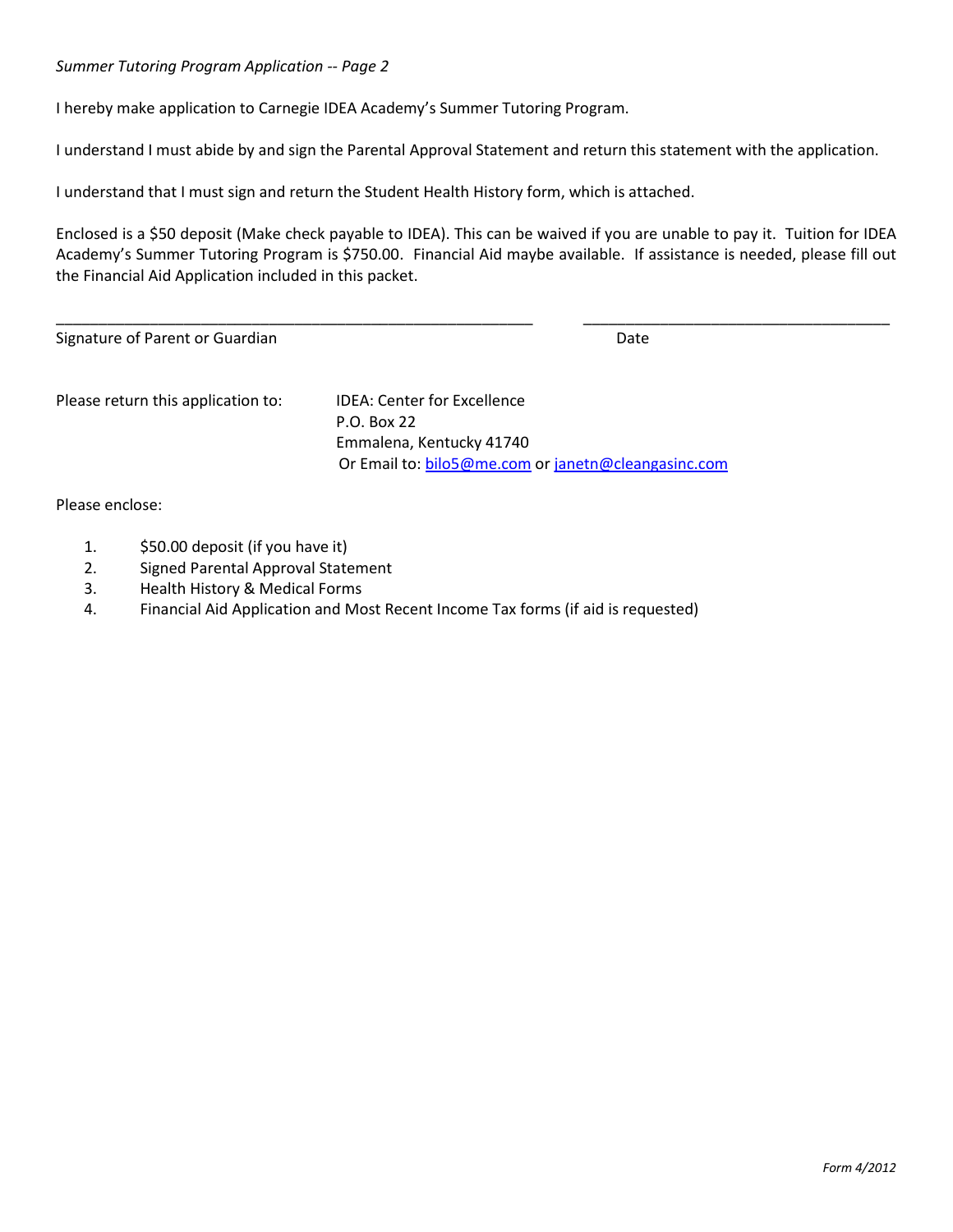#### *Summer Tutoring Program Application -- Page 2*

I hereby make application to Carnegie IDEA Academy's Summer Tutoring Program.

I understand I must abide by and sign the Parental Approval Statement and return this statement with the application.

I understand that I must sign and return the Student Health History form, which is attached.

Enclosed is a \$50 deposit (Make check payable to IDEA). This can be waived if you are unable to pay it. Tuition for IDEA Academy's Summer Tutoring Program is \$750.00. Financial Aid maybe available. If assistance is needed, please fill out the Financial Aid Application included in this packet.

| Signature of Parent or Guardian    |                                    | Date |  |
|------------------------------------|------------------------------------|------|--|
| Please return this application to: | <b>IDEA: Center for Excellence</b> |      |  |
|                                    | P.O. Box 22                        |      |  |
|                                    | Emmalena, Kentucky 41740           |      |  |

Or Email to: [bilo5@me.com](mailto:bilo5@me.com) or [janetn@cleangasinc.com](mailto:janetn@cleangasinc.com)

Please enclose:

- 1. \$50.00 deposit (if you have it)
- 2. Signed Parental Approval Statement
- 3. Health History & Medical Forms
- 4. Financial Aid Application and Most Recent Income Tax forms (if aid is requested)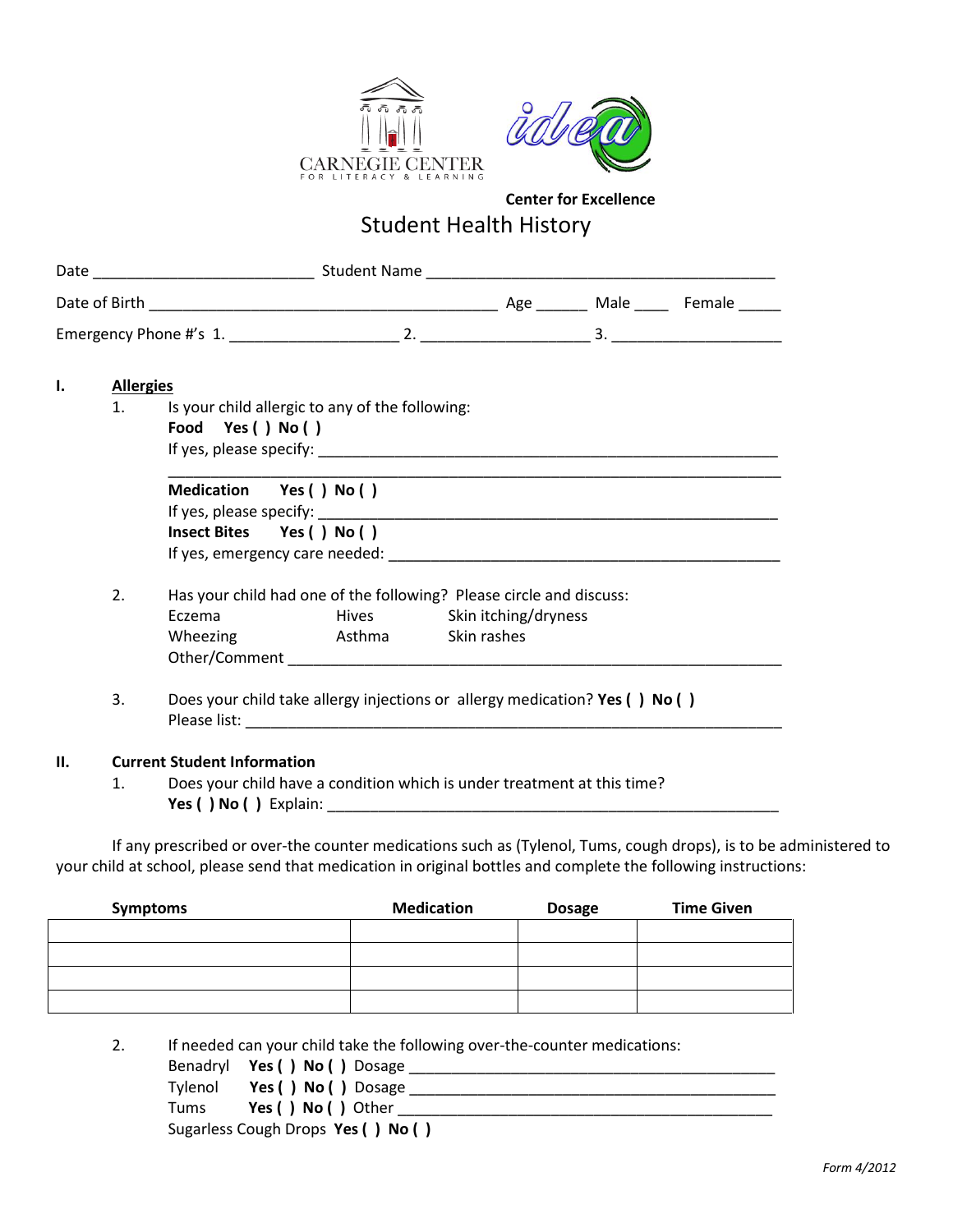



### Student Health History

| Ι. | <b>Allergies</b> |                                                      |                                                 |                                                                                                   |  |
|----|------------------|------------------------------------------------------|-------------------------------------------------|---------------------------------------------------------------------------------------------------|--|
|    | 1.               | Food Yes () No ()                                    | Is your child allergic to any of the following: |                                                                                                   |  |
|    |                  | Medication Yes () No ()<br>Insect Bites Yes () No () |                                                 |                                                                                                   |  |
|    | 2.               | Eczema                                               | Wheezing <b>Asthma</b> Skin rashes              | Has your child had one of the following? Please circle and discuss:<br>Hives Skin itching/dryness |  |
|    | 3.               |                                                      |                                                 | Does your child take allergy injections or allergy medication? Yes () No ()                       |  |
| П. |                  | <b>Current Student Information</b>                   |                                                 |                                                                                                   |  |
|    | $\mathbf{1}$ .   |                                                      |                                                 | Does your child have a condition which is under treatment at this time?                           |  |
|    |                  |                                                      |                                                 | $\sim$ $\sim$ $\sim$ $\sim$                                                                       |  |

If any prescribed or over-the counter medications such as (Tylenol, Tums, cough drops), is to be administered to your child at school, please send that medication in original bottles and complete the following instructions:

| <b>Symptoms</b> | <b>Medication</b> | <b>Dosage</b> | <b>Time Given</b> |
|-----------------|-------------------|---------------|-------------------|
|                 |                   |               |                   |
|                 |                   |               |                   |
|                 |                   |               |                   |
|                 |                   |               |                   |

2. If needed can your child take the following over-the-counter medications:

|         | Benadryl Yes () No () Dosage       |
|---------|------------------------------------|
| Tvlenol | Yes () No () Dosage                |
| Tums    | Yes () No () Other                 |
|         | Sugarless Cough Drops Yes () No () |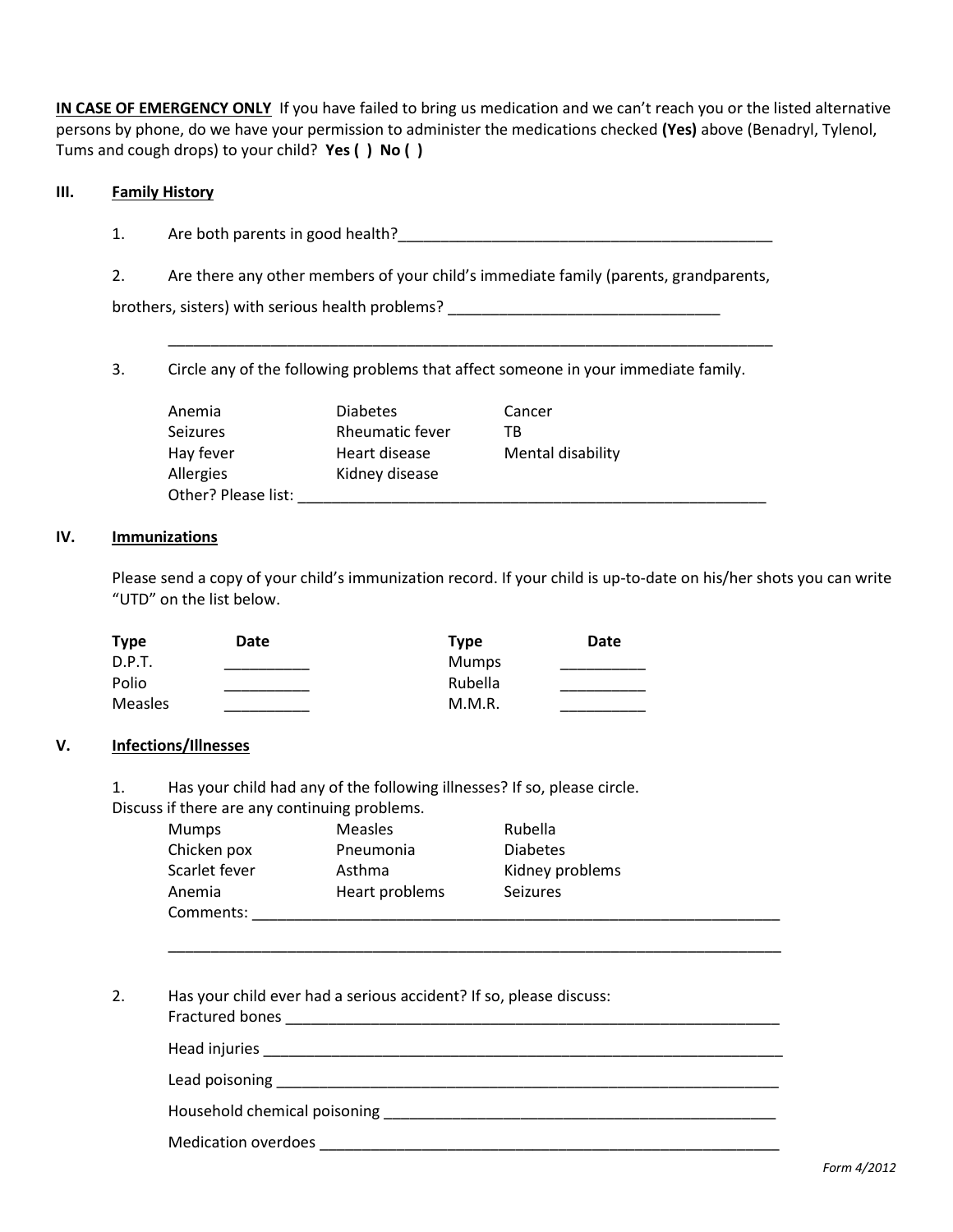**IN CASE OF EMERGENCY ONLY** If you have failed to bring us medication and we can't reach you or the listed alternative persons by phone, do we have your permission to administer the medications checked **(Yes)** above (Benadryl, Tylenol, Tums and cough drops) to your child? **Yes ( ) No ( )**

#### **III. Family History**

- 1. Are both parents in good health?\_\_\_\_\_\_\_\_\_\_\_\_\_\_\_\_\_\_\_\_\_\_\_\_\_\_\_\_\_\_\_\_\_\_\_\_\_\_\_\_\_\_\_\_
- 2. Are there any other members of your child's immediate family (parents, grandparents,

brothers, sisters) with serious health problems? \_\_\_\_\_\_\_\_\_\_\_\_\_\_\_\_\_\_\_\_\_\_\_\_\_\_\_\_\_\_\_

3. Circle any of the following problems that affect someone in your immediate family.

| Anemia              | <b>Diabetes</b>        | Cancer            |
|---------------------|------------------------|-------------------|
| <b>Seizures</b>     | <b>Rheumatic fever</b> | тв                |
| Hay fever           | Heart disease          | Mental disability |
| Allergies           | Kidney disease         |                   |
| Other? Please list: |                        |                   |

\_\_\_\_\_\_\_\_\_\_\_\_\_\_\_\_\_\_\_\_\_\_\_\_\_\_\_\_\_\_\_\_\_\_\_\_\_\_\_\_\_\_\_\_\_\_\_\_\_\_\_\_\_\_\_\_\_\_\_\_\_\_\_\_\_\_\_\_\_\_\_

#### **IV. Immunizations**

Please send a copy of your child's immunization record. If your child is up-to-date on his/her shots you can write "UTD" on the list below.

| <b>Type</b>    | Date | <b>Type</b> | Date |
|----------------|------|-------------|------|
| D.P.T.         |      | Mumps       |      |
| Polio          |      | Rubella     |      |
| <b>Measles</b> |      | M.M.R.      |      |

#### **V. Infections/Illnesses**

1. Has your child had any of the following illnesses? If so, please circle. Discuss if there are any continuing problems.

| Mumps         | Measles        | Rubella         |
|---------------|----------------|-----------------|
| Chicken pox   | Pneumonia      | <b>Diabetes</b> |
| Scarlet fever | Asthma         | Kidney problems |
| Anemia        | Heart problems | <b>Seizures</b> |
| Comments:     |                |                 |

\_\_\_\_\_\_\_\_\_\_\_\_\_\_\_\_\_\_\_\_\_\_\_\_\_\_\_\_\_\_\_\_\_\_\_\_\_\_\_\_\_\_\_\_\_\_\_\_\_\_\_\_\_\_\_\_\_\_\_\_\_\_\_\_\_\_\_\_\_\_\_\_

2. Has your child ever had a serious accident? If so, please discuss: Fractured bones \_\_\_\_\_\_\_\_\_\_\_\_\_\_\_\_\_\_\_\_\_\_\_\_\_\_\_\_\_\_\_\_\_\_\_\_\_\_\_\_\_\_\_\_\_\_\_\_\_\_\_\_\_\_\_\_\_\_

Head injuries \_\_\_\_\_\_\_\_\_\_\_\_\_\_\_\_\_\_\_\_\_\_\_\_\_\_\_\_\_\_\_\_\_\_\_\_\_\_\_\_\_\_\_\_\_\_\_\_\_\_\_\_\_\_\_\_\_\_\_\_\_

Lead poisoning the state of the state of the state of the state of the state of the state of the state of the state of the state of the state of the state of the state of the state of the state of the state of the state of

Household chemical poisoning **Exercise 2018** 

Medication overdoes \_\_\_\_\_\_\_\_\_\_\_\_\_\_\_\_\_\_\_\_\_\_\_\_\_\_\_\_\_\_\_\_\_\_\_\_\_\_\_\_\_\_\_\_\_\_\_\_\_\_\_\_\_\_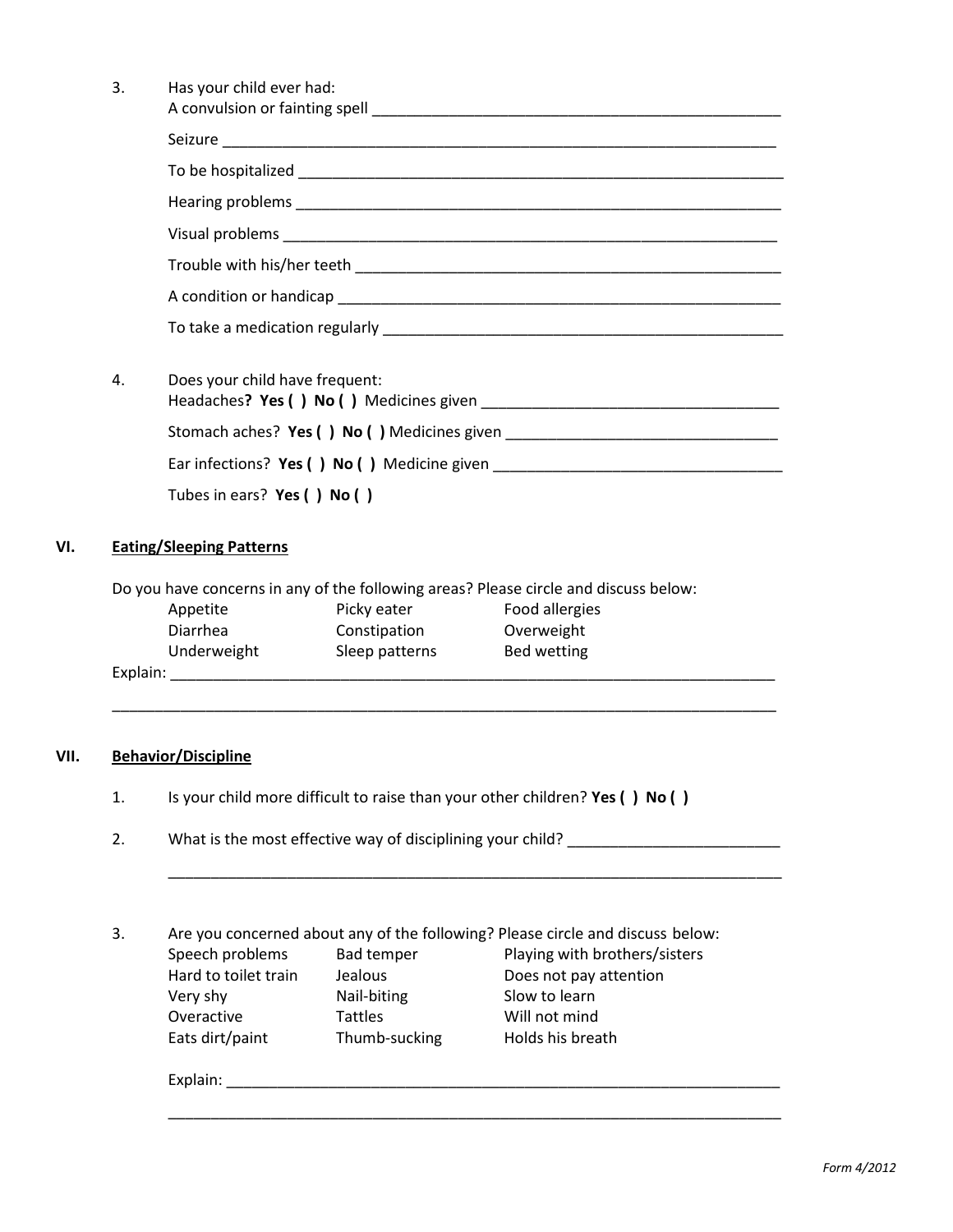| 3. | Has your child ever had:       |                                |                                                                                                                 |  |
|----|--------------------------------|--------------------------------|-----------------------------------------------------------------------------------------------------------------|--|
|    |                                |                                |                                                                                                                 |  |
|    |                                |                                |                                                                                                                 |  |
|    |                                |                                |                                                                                                                 |  |
|    |                                |                                |                                                                                                                 |  |
|    |                                |                                |                                                                                                                 |  |
|    |                                |                                |                                                                                                                 |  |
|    |                                |                                |                                                                                                                 |  |
|    |                                |                                |                                                                                                                 |  |
| 4. | Does your child have frequent: |                                |                                                                                                                 |  |
|    |                                |                                |                                                                                                                 |  |
|    |                                |                                | Ear infections? Yes () No () Medicine given                                                                     |  |
|    |                                | Tubes in ears? Yes () No ()    |                                                                                                                 |  |
|    | Diarrhea<br>Underweight        | Constipation<br>Sleep patterns | Overweight<br>Bed wetting                                                                                       |  |
|    | <b>Behavior/Discipline</b>     |                                |                                                                                                                 |  |
| 1. |                                |                                | Is your child more difficult to raise than your other children? Yes () No ()                                    |  |
| 2. |                                |                                | What is the most effective way of disciplining your child?                                                      |  |
|    |                                |                                |                                                                                                                 |  |
| 3. | Speech problems                | <b>Bad temper</b>              | Are you concerned about any of the following? Please circle and discuss below:<br>Playing with brothers/sisters |  |
|    | Hard to toilet train           | Jealous                        | Does not pay attention                                                                                          |  |
|    | Very shy                       | Nail-biting                    | Slow to learn                                                                                                   |  |
|    | Overactive                     | <b>Tattles</b>                 | Will not mind                                                                                                   |  |
|    | Eats dirt/paint                | Thumb-sucking                  | Holds his breath                                                                                                |  |
|    | Explain:                       |                                |                                                                                                                 |  |
|    |                                |                                |                                                                                                                 |  |

\_\_\_\_\_\_\_\_\_\_\_\_\_\_\_\_\_\_\_\_\_\_\_\_\_\_\_\_\_\_\_\_\_\_\_\_\_\_\_\_\_\_\_\_\_\_\_\_\_\_\_\_\_\_\_\_\_\_\_\_\_\_\_\_\_\_\_\_\_\_\_\_

**VII.**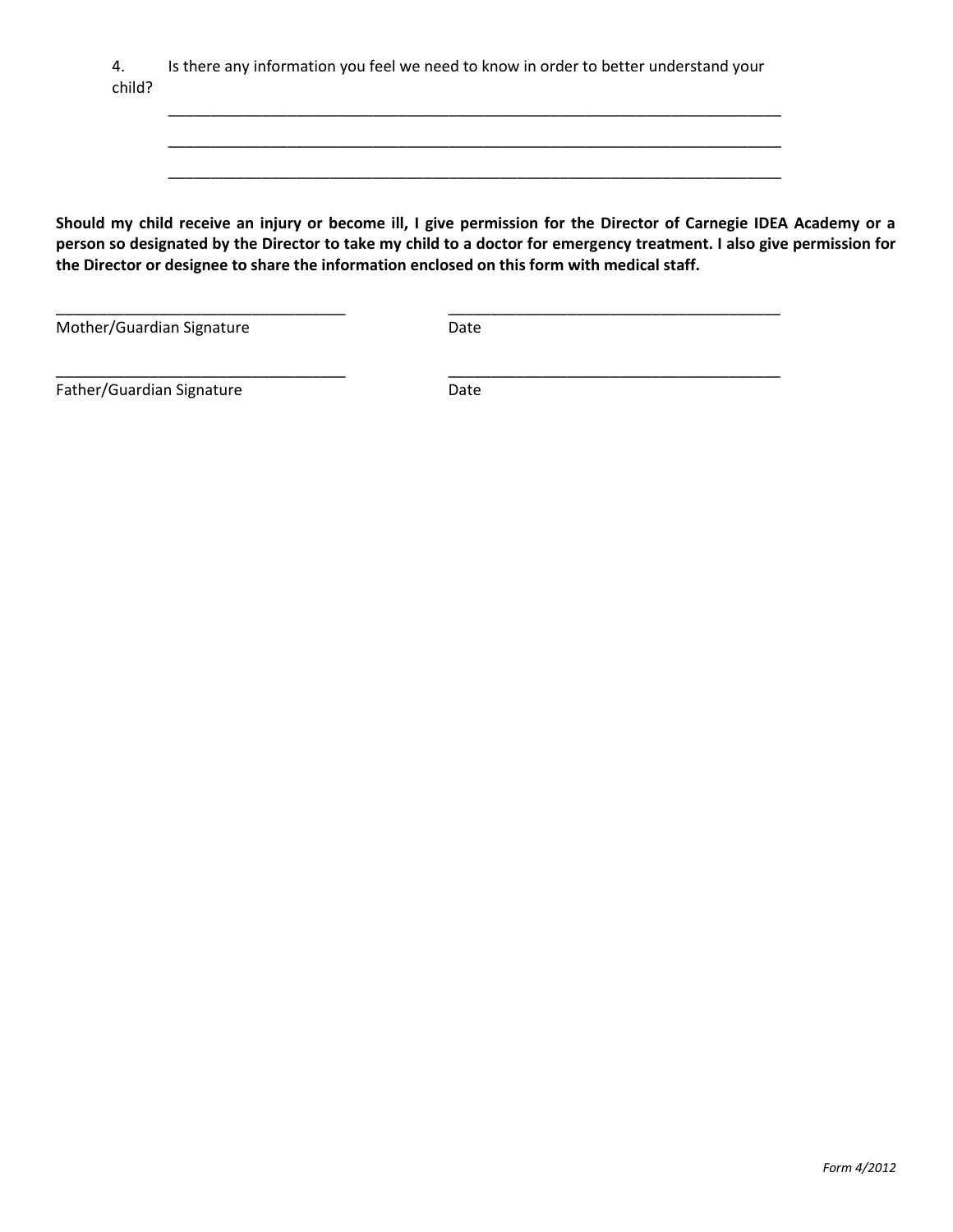4. Is there any information you feel we need to know in order to better understand your child?

**Should my child receive an injury or become ill, I give permission for the Director of Carnegie IDEA Academy or a person so designated by the Director to take my child to a doctor for emergency treatment. I also give permission for the Director or designee to share the information enclosed on this form with medical staff.**

\_\_\_\_\_\_\_\_\_\_\_\_\_\_\_\_\_\_\_\_\_\_\_\_\_\_\_\_\_\_\_\_\_\_\_\_\_\_\_\_\_\_\_\_\_\_\_\_\_\_\_\_\_\_\_\_\_\_\_\_\_\_\_\_\_\_\_\_\_\_\_\_

\_\_\_\_\_\_\_\_\_\_\_\_\_\_\_\_\_\_\_\_\_\_\_\_\_\_\_\_\_\_\_\_\_\_\_\_\_\_\_\_\_\_\_\_\_\_\_\_\_\_\_\_\_\_\_\_\_\_\_\_\_\_\_\_\_\_\_\_\_\_\_\_

\_\_\_\_\_\_\_\_\_\_\_\_\_\_\_\_\_\_\_\_\_\_\_\_\_\_\_\_\_\_\_\_\_\_\_\_\_\_\_\_\_\_\_\_\_\_\_\_\_\_\_\_\_\_\_\_\_\_\_\_\_\_\_\_\_\_\_\_\_\_\_\_

Mother/Guardian Signature **Date** Date

\_\_\_\_\_\_\_\_\_\_\_\_\_\_\_\_\_\_\_\_\_\_\_\_\_\_\_\_\_\_\_\_\_\_ \_\_\_\_\_\_\_\_\_\_\_\_\_\_\_\_\_\_\_\_\_\_\_\_\_\_\_\_\_\_\_\_\_\_\_\_\_\_\_

Father/Guardian Signature **Date** Date

\_\_\_\_\_\_\_\_\_\_\_\_\_\_\_\_\_\_\_\_\_\_\_\_\_\_\_\_\_\_\_\_\_\_ \_\_\_\_\_\_\_\_\_\_\_\_\_\_\_\_\_\_\_\_\_\_\_\_\_\_\_\_\_\_\_\_\_\_\_\_\_\_\_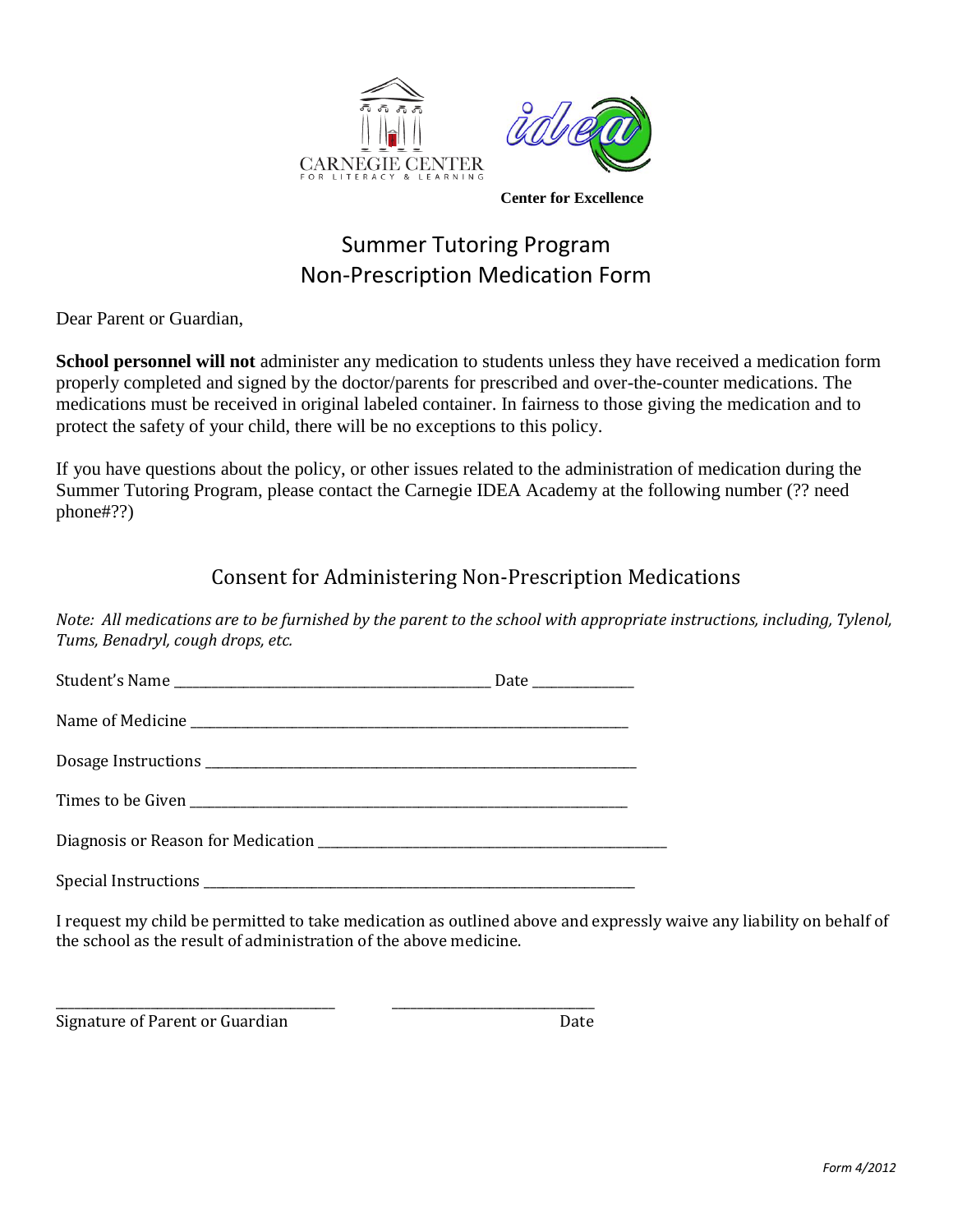

## Summer Tutoring Program Non-Prescription Medication Form

Dear Parent or Guardian,

**School personnel will not** administer any medication to students unless they have received a medication form properly completed and signed by the doctor/parents for prescribed and over-the-counter medications. The medications must be received in original labeled container. In fairness to those giving the medication and to protect the safety of your child, there will be no exceptions to this policy.

If you have questions about the policy, or other issues related to the administration of medication during the Summer Tutoring Program, please contact the Carnegie IDEA Academy at the following number (?? need phone#??)

#### Consent for Administering Non-Prescription Medications

*Note: All medications are to be furnished by the parent to the school with appropriate instructions, including, Tylenol, Tums, Benadryl, cough drops, etc.*

| Date ____________ |  |
|-------------------|--|
|                   |  |
|                   |  |
|                   |  |
|                   |  |
|                   |  |

I request my child be permitted to take medication as outlined above and expressly waive any liability on behalf of the school as the result of administration of the above medicine.

Signature of Parent or Guardian Date

\_\_\_\_\_\_\_\_\_\_\_\_\_\_\_\_\_\_\_\_\_\_\_\_\_\_\_\_\_\_\_\_\_\_\_\_\_\_\_\_\_\_\_\_ \_\_\_\_\_\_\_\_\_\_\_\_\_\_\_\_\_\_\_\_\_\_\_\_\_\_\_\_\_\_\_\_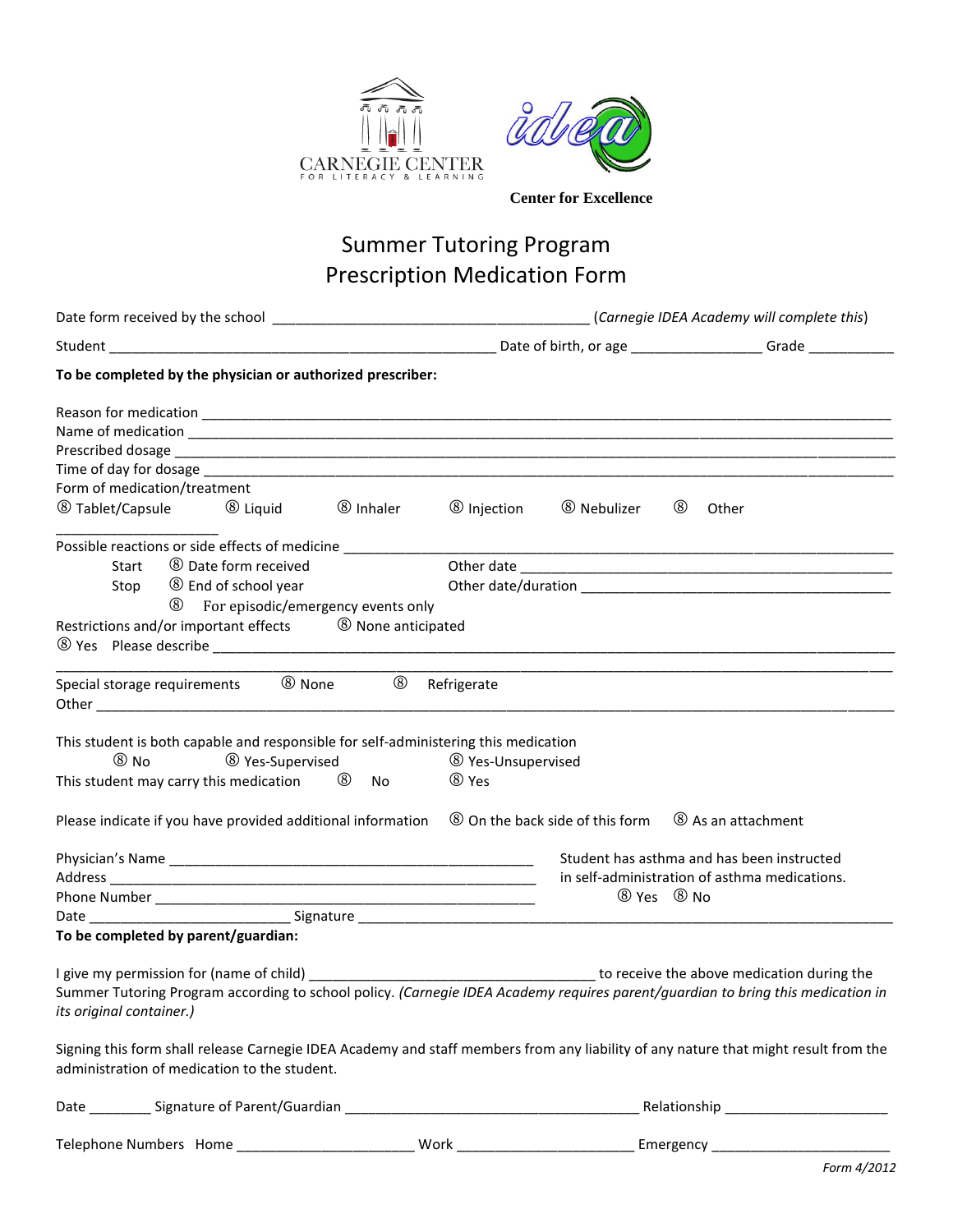



## Summer Tutoring Program Prescription Medication Form

|                                                                                                                                                                                                                     | (Carnegie IDEA Academy will complete this)          |                        |                                               |
|---------------------------------------------------------------------------------------------------------------------------------------------------------------------------------------------------------------------|-----------------------------------------------------|------------------------|-----------------------------------------------|
|                                                                                                                                                                                                                     |                                                     |                        |                                               |
| To be completed by the physician or authorized prescriber:                                                                                                                                                          |                                                     |                        |                                               |
|                                                                                                                                                                                                                     |                                                     |                        |                                               |
|                                                                                                                                                                                                                     |                                                     |                        |                                               |
|                                                                                                                                                                                                                     |                                                     |                        |                                               |
|                                                                                                                                                                                                                     |                                                     |                        |                                               |
| Form of medication/treatment                                                                                                                                                                                        |                                                     |                        |                                               |
| <b>8</b> Tablet/Capsule<br><b>8</b> Liquid<br><sup>(8)</sup> Inhaler                                                                                                                                                | <b>8</b> Injection                                  | <sup>8</sup> Nebulizer | $^\circledR$<br>Other                         |
| Possible reactions or side effects of medicine _____________                                                                                                                                                        |                                                     |                        |                                               |
| <b>8</b> Date form received<br>Start                                                                                                                                                                                |                                                     |                        |                                               |
| <b>8</b> End of school year<br>Stop                                                                                                                                                                                 |                                                     |                        |                                               |
| (8)<br>For episodic/emergency events only                                                                                                                                                                           |                                                     |                        |                                               |
| Restrictions and/or important effects 8 None anticipated                                                                                                                                                            |                                                     |                        |                                               |
| $^{\circledR}$<br>Special storage requirements 80 None                                                                                                                                                              | Refrigerate                                         |                        |                                               |
| This student is both capable and responsible for self-administering this medication<br>$@$ No<br><b>8 Yes-Supervised</b><br>This student may carry this medication 6<br>No.                                         | <sup>⑧</sup> Yes-Unsupervised<br><sup>(8)</sup> Yes |                        |                                               |
| Please indicate if you have provided additional information $\circledR$ On the back side of this form                                                                                                               |                                                     |                        | 8 As an attachment                            |
|                                                                                                                                                                                                                     |                                                     |                        | Student has asthma and has been instructed    |
|                                                                                                                                                                                                                     |                                                     |                        | in self-administration of asthma medications. |
|                                                                                                                                                                                                                     |                                                     |                        | 8 Yes 8 No                                    |
|                                                                                                                                                                                                                     |                                                     |                        |                                               |
| To be completed by parent/guardian:                                                                                                                                                                                 |                                                     |                        |                                               |
| I give my permission for (name of child) ___________<br>Summer Tutoring Program according to school policy. (Carnegie IDEA Academy requires parent/guardian to bring this medication in<br>its original container.) |                                                     |                        | to receive the above medication during the    |
| Signing this form shall release Carnegie IDEA Academy and staff members from any liability of any nature that might result from the<br>administration of medication to the student.                                 |                                                     |                        |                                               |
|                                                                                                                                                                                                                     |                                                     |                        |                                               |
|                                                                                                                                                                                                                     |                                                     |                        |                                               |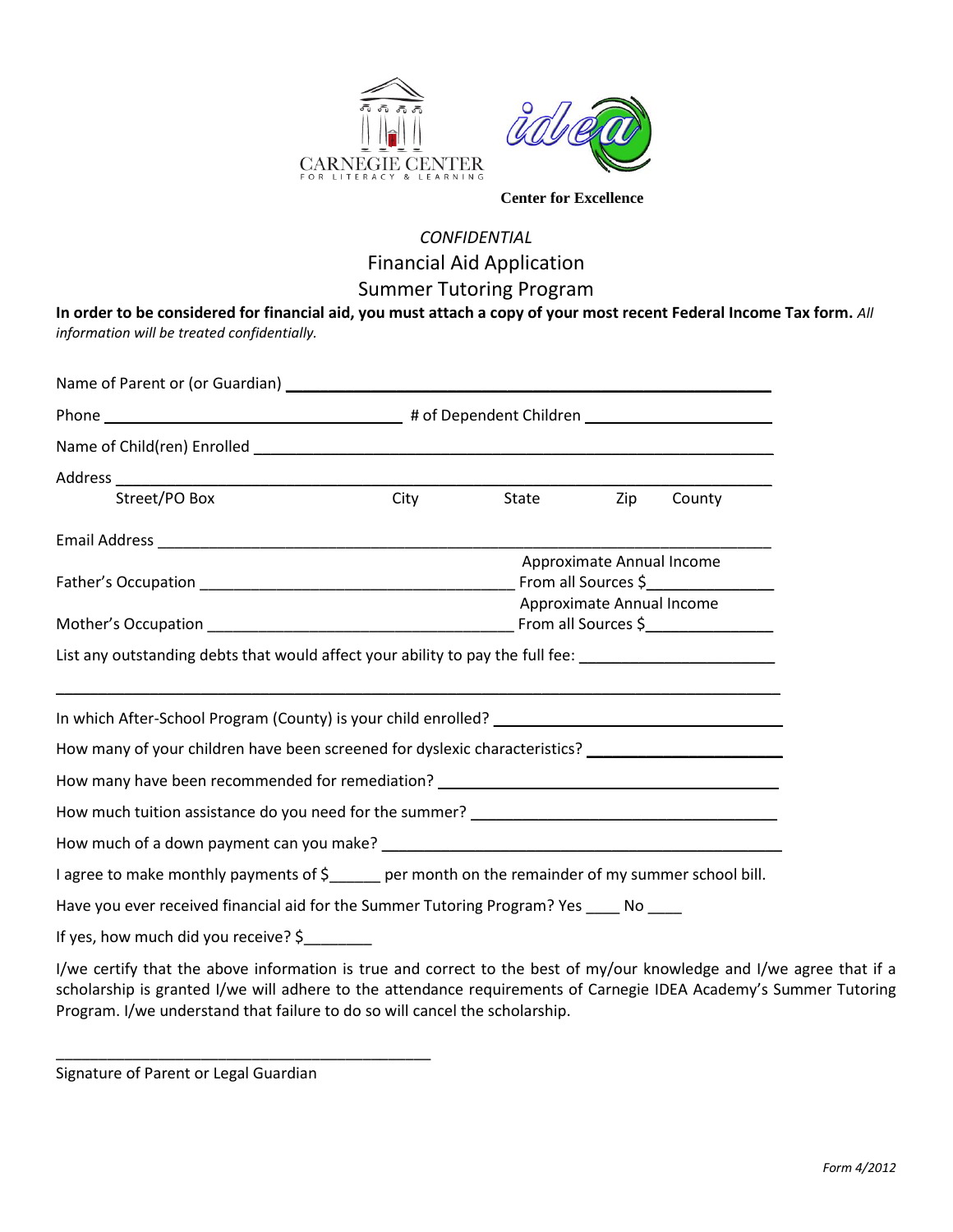



#### *CONFIDENTIAL* Financial Aid Application Summer Tutoring Program

**In order to be considered for financial aid, you must attach a copy of your most recent Federal Income Tax form.** *All information will be treated confidentially.*

| Street/PO Box                                                                                            | City | State                     | Zip                       | County |
|----------------------------------------------------------------------------------------------------------|------|---------------------------|---------------------------|--------|
|                                                                                                          |      |                           |                           |        |
|                                                                                                          |      | Approximate Annual Income |                           |        |
|                                                                                                          |      |                           |                           |        |
|                                                                                                          |      |                           | Approximate Annual Income |        |
|                                                                                                          |      |                           |                           |        |
| List any outstanding debts that would affect your ability to pay the full fee: _____________________     |      |                           |                           |        |
|                                                                                                          |      |                           |                           |        |
| How many of your children have been screened for dyslexic characteristics? ________________________      |      |                           |                           |        |
| How many have been recommended for remediation? _________________________________                        |      |                           |                           |        |
|                                                                                                          |      |                           |                           |        |
|                                                                                                          |      |                           |                           |        |
| I agree to make monthly payments of \$_____ per month on the remainder of my summer school bill.         |      |                           |                           |        |
| Have you ever received financial aid for the Summer Tutoring Program? Yes ____ No ____                   |      |                           |                           |        |
| If yes, how much did you receive? \$                                                                     |      |                           |                           |        |
| $l$ /we certify that the above information is true and correct to the best of my/our knowledge and $l/m$ |      |                           |                           |        |

I/we certify that the above information is true and correct to the best of my/our knowledge and I/we agree that if a scholarship is granted I/we will adhere to the attendance requirements of Carnegie IDEA Academy's Summer Tutoring Program. I/we understand that failure to do so will cancel the scholarship.

Signature of Parent or Legal Guardian

\_\_\_\_\_\_\_\_\_\_\_\_\_\_\_\_\_\_\_\_\_\_\_\_\_\_\_\_\_\_\_\_\_\_\_\_\_\_\_\_\_\_\_\_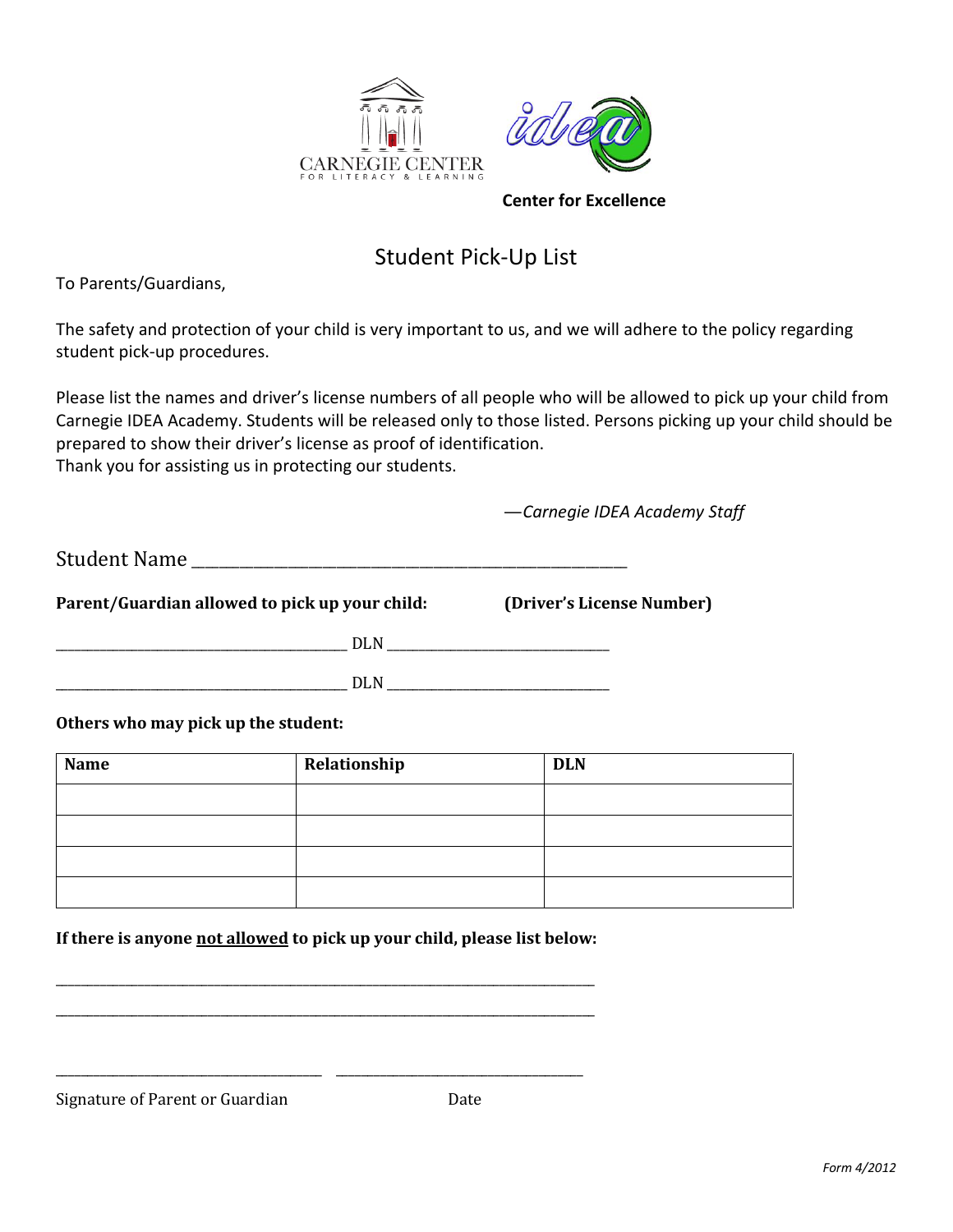



### Student Pick-Up List

To Parents/Guardians,

The safety and protection of your child is very important to us, and we will adhere to the policy regarding student pick-up procedures.

Please list the names and driver's license numbers of all people who will be allowed to pick up your child from Carnegie IDEA Academy. Students will be released only to those listed. Persons picking up your child should be prepared to show their driver's license as proof of identification. Thank you for assisting us in protecting our students.

—*Carnegie IDEA Academy Staff*

Student Name \_\_\_\_\_\_\_\_\_\_\_\_\_\_\_\_\_\_\_\_\_\_\_\_\_\_\_\_\_\_\_\_\_\_\_\_\_\_\_\_\_\_\_\_\_\_\_\_\_\_\_\_\_\_\_\_\_\_\_\_\_\_\_

**Parent/Guardian allowed to pick up your child: (Driver's License Number)**

 $\rm{PLN}$ 

\_\_\_\_\_\_\_\_\_\_\_\_\_\_\_\_\_\_\_\_\_\_\_\_\_\_\_\_\_\_\_\_\_\_\_\_\_\_\_\_\_\_\_\_\_\_ DLN \_\_\_\_\_\_\_\_\_\_\_\_\_\_\_\_\_\_\_\_\_\_\_\_\_\_\_\_\_\_\_\_\_\_\_

**Others who may pick up the student:**

| <b>Name</b> | Relationship | <b>DLN</b> |
|-------------|--------------|------------|
|             |              |            |
|             |              |            |
|             |              |            |
|             |              |            |

**If there is anyone not allowed to pick up your child, please list below:**

\_\_\_\_\_\_\_\_\_\_\_\_\_\_\_\_\_\_\_\_\_\_\_\_\_\_\_\_\_\_\_\_\_\_\_\_\_\_\_\_\_\_\_\_\_\_\_\_\_\_\_\_\_\_\_\_\_\_\_\_\_\_\_\_\_\_\_\_\_\_\_\_\_\_\_\_\_\_\_\_\_\_\_\_\_ \_\_\_\_\_\_\_\_\_\_\_\_\_\_\_\_\_\_\_\_\_\_\_\_\_\_\_\_\_\_\_\_\_\_\_\_\_\_\_\_\_\_\_\_\_\_\_\_\_\_\_\_\_\_\_\_\_\_\_\_\_\_\_\_\_\_\_\_\_\_\_\_\_\_\_\_\_\_\_\_\_\_\_\_\_

\_\_\_\_\_\_\_\_\_\_\_\_\_\_\_\_\_\_\_\_\_\_\_\_\_\_\_\_\_\_\_\_\_\_\_\_\_\_\_\_\_\_ \_\_\_\_\_\_\_\_\_\_\_\_\_\_\_\_\_\_\_\_\_\_\_\_\_\_\_\_\_\_\_\_\_\_\_\_\_\_\_

Signature of Parent or Guardian Date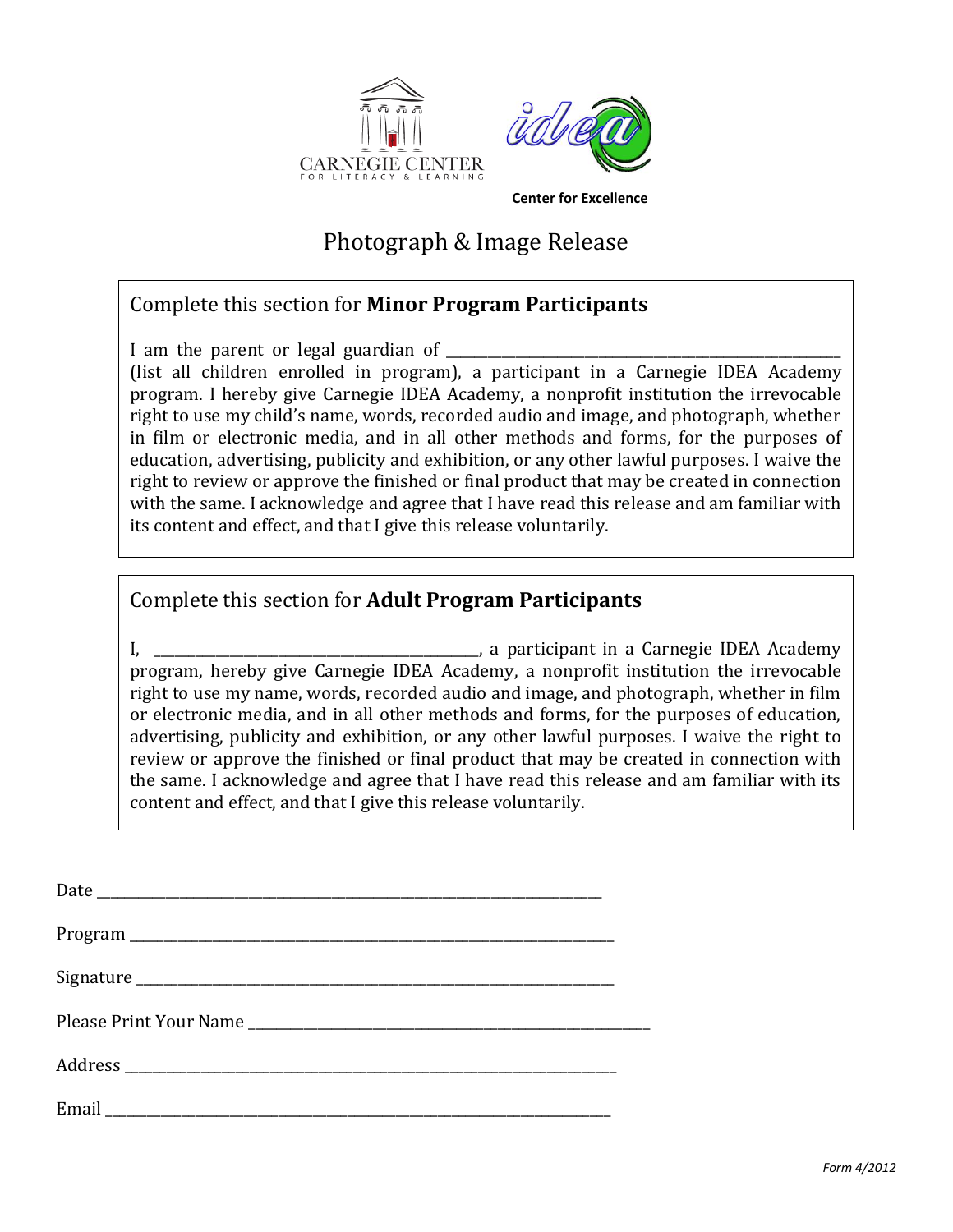



Photograph & Image Release

#### Complete this section for **Minor Program Participants**

I am the parent or legal guardian of  $\overline{\phantom{a}}$ (list all children enrolled in program), a participant in a Carnegie IDEA Academy program. I hereby give Carnegie IDEA Academy, a nonprofit institution the irrevocable right to use my child's name, words, recorded audio and image, and photograph, whether in film or electronic media, and in all other methods and forms, for the purposes of education, advertising, publicity and exhibition, or any other lawful purposes. I waive the right to review or approve the finished or final product that may be created in connection with the same. I acknowledge and agree that I have read this release and am familiar with its content and effect, and that I give this release voluntarily.

#### Complete this section for **Adult Program Participants**

I, \_\_\_\_\_\_\_\_\_\_\_\_\_\_\_\_\_\_\_\_\_\_\_\_\_\_\_\_\_\_\_\_\_\_\_\_\_\_\_\_\_\_\_\_\_\_\_, a participant in a Carnegie IDEA Academy program, hereby give Carnegie IDEA Academy, a nonprofit institution the irrevocable right to use my name, words, recorded audio and image, and photograph, whether in film or electronic media, and in all other methods and forms, for the purposes of education, advertising, publicity and exhibition, or any other lawful purposes. I waive the right to review or approve the finished or final product that may be created in connection with the same. I acknowledge and agree that I have read this release and am familiar with its content and effect, and that I give this release voluntarily.